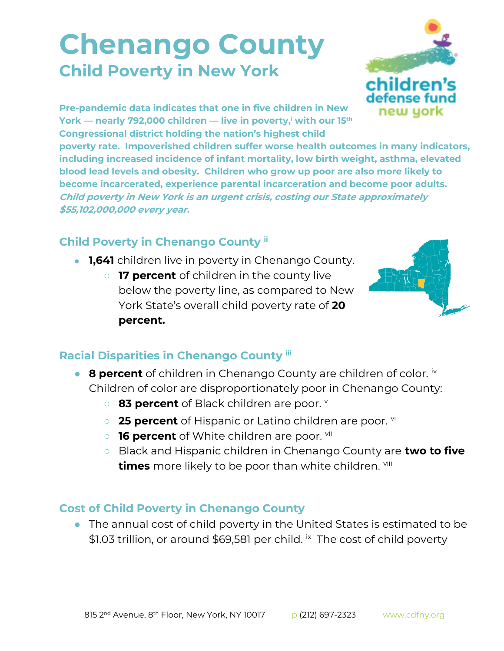## **Chenango County Child Poverty in New York**



**Pre-pandemic data indicates that one in five children in New York — nearly 792,000 children — live in poverty,<sup>i</sup> with our 15th Congressional district holding the nation's highest child** 

**poverty rate. Impoverished children suffer worse health outcomes in many indicators, including increased incidence of infant mortality, low birth weight, asthma, elevated blood lead levels and obesity. Children who grow up poor are also more likely to become incarcerated, experience parental incarceration and become poor adults. Child poverty in New York is an urgent crisis, costing our State approximately \$55,102,000,000 every year.**

## **Child Poverty in Chenango County ii**

- **1,641** children live in poverty in Chenango County.
	- **17 percent** of children in the county live below the poverty line, as compared to New York State's overall child poverty rate of **20 percent.**



## **Racial Disparities in Chenango County iii**

- **8 percent** of children in Chenango County are children of color. iv Children of color are disproportionately poor in Chenango County:
	- 83 percent of Black children are poor. **v**
	- **25 percent** of Hispanic or Latino children are poor. <sup>vi</sup>
	- **16 percent** of White children are poor. <sup>vii</sup>
	- Black and Hispanic children in Chenango County are **two to five times** more likely to be poor than white children. viii

## **Cost of Child Poverty in Chenango County**

● The annual cost of child poverty in the United States is estimated to be \$1.03 trillion, or around \$69,581 per child. <sup>ix</sup> The cost of child poverty